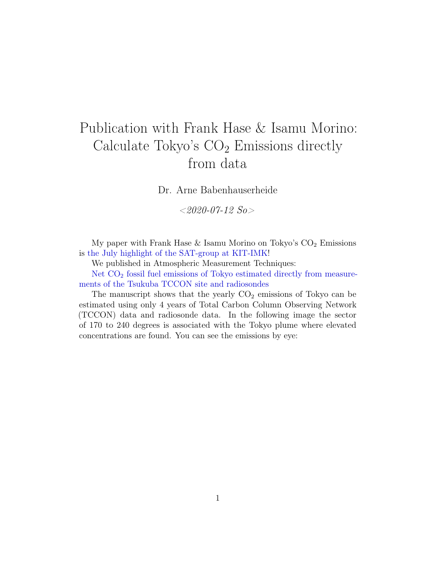## Publication with Frank Hase & Isamu Morino: Calculate Tokyo's  $CO<sub>2</sub>$  Emissions directly from data

Dr. Arne Babenhauserheide

 $<$ 2020-07-12 So $>$ 

My paper with Frank Hase  $&$  Isamu Morino on Tokyo's  $CO<sub>2</sub>$  Emissions is [the July highlight of the SAT-group at KIT-IMK!](https://www.imk-asf.kit.edu/english/3560.php)

We published in Atmospheric Measurement Techniques:

Net  $CO<sub>2</sub>$  [fossil fuel emissions of Tokyo estimated directly from measure](https://www.atmos-meas-tech.net/13/2697/2020/amt-13-2697-2020.html)[ments of the Tsukuba TCCON site and radiosondes](https://www.atmos-meas-tech.net/13/2697/2020/amt-13-2697-2020.html)

The manuscript shows that the yearly  $CO<sub>2</sub>$  emissions of Tokyo can be estimated using only 4 years of Total Carbon Column Observing Network (TCCON) data and radiosonde data. In the following image the sector of 170 to 240 degrees is associated with the Tokyo plume where elevated concentrations are found. You can see the emissions by eye: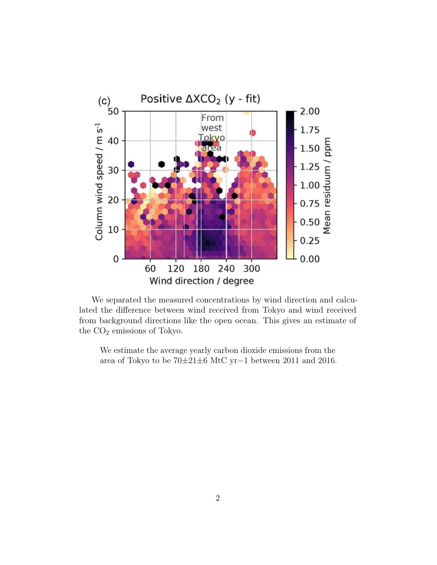

We separated the measured concentrations by wind direction and calculated the difference between wind received from Tokyo and wind received from background directions like the open ocean. This gives an estimate of the  $CO<sub>2</sub>$  emissions of Tokyo.

We estimate the average yearly carbon dioxide emissions from the area of Tokyo to be 70±21±6 MtC yr−1 between 2011 and 2016.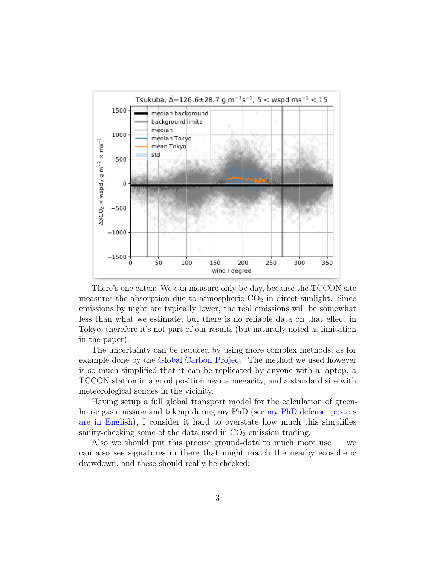

There's one catch: We can measure only by day, because the TCCON site measures the absorption due to atmospheric  $CO<sub>2</sub>$  in direct sunlight. Since emissions by night are typically lower, the real emissions will be somewhat less than what we estimate, but there is no reliable data on that effect in Tokyo, therefore it's not part of our results (but naturally noted as limitation in the paper).

The uncertainty can be reduced by using more complex methods, as for example done by the [Global Carbon Project.](https://www.globalcarbonproject.org/) The method we used however is so much simplified that it can be replicated by anyone with a laptop, a TCCON station in a good position near a megacity, and a standard site with meteorological sondes in the vicinity.

Having setup a full global transport model for the calculation of greenhouse gas emission and takeup during my PhD (see [my PhD defense; posters](https://www.draketo.de/deutsch/physik/verteidigung-doktorarbeit) [are in English\)](https://www.draketo.de/deutsch/physik/verteidigung-doktorarbeit), I consider it hard to overstate how much this simplifies sanity-checking some of the data used in  $CO<sub>2</sub>$  emission trading.

Also we should put this precise ground-data to much more use  $-$  we can also see signatures in there that might match the nearby ecospheric drawdown, and these should really be checked: